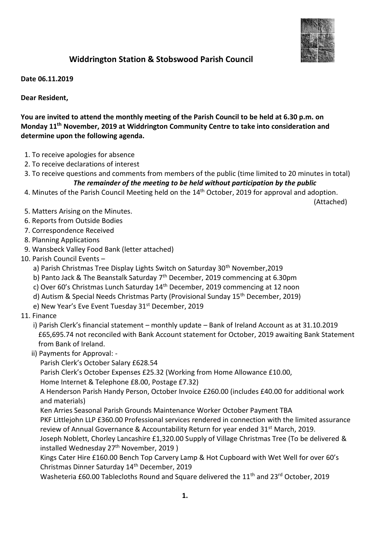

## **Widdrington Station & Stobswood Parish Council**

**Date 06.11.2019**

**Dear Resident,**

**You are invited to attend the monthly meeting of the Parish Council to be held at 6.30 p.m. on Monday 11 th November, 2019 at Widdrington Community Centre to take into consideration and determine upon the following agenda.**

- 1. To receive apologies for absence
- 2. To receive declarations of interest
- 3. To receive questions and comments from members of the public (time limited to 20 minutes in total) *The remainder of the meeting to be held without participation by the public*
- 4. Minutes of the Parish Council Meeting held on the 14<sup>th</sup> October, 2019 for approval and adoption.

(Attached)

- 5. Matters Arising on the Minutes.
- 6. Reports from Outside Bodies
- 7. Correspondence Received
- 8. Planning Applications
- 9. Wansbeck Valley Food Bank (letter attached)
- 10. Parish Council Events
	- a) Parish Christmas Tree Display Lights Switch on Saturday 30<sup>th</sup> November, 2019
	- b) Panto Jack & The Beanstalk Saturday 7<sup>th</sup> December, 2019 commencing at 6.30pm
	- c) Over 60's Christmas Lunch Saturday 14th December, 2019 commencing at 12 noon
	- d) Autism & Special Needs Christmas Party (Provisional Sunday 15<sup>th</sup> December, 2019)
	- e) New Year's Eve Event Tuesday 31<sup>st</sup> December, 2019
- 11. Finance

i) Parish Clerk's financial statement – monthly update – Bank of Ireland Account as at 31.10.2019 £65,695.74 not reconciled with Bank Account statement for October, 2019 awaiting Bank Statement from Bank of Ireland.

ii) Payments for Approval: -

Parish Clerk's October Salary £628.54

Parish Clerk's October Expenses £25.32 (Working from Home Allowance £10.00,

Home Internet & Telephone £8.00, Postage £7.32)

 A Henderson Parish Handy Person, October Invoice £260.00 (includes £40.00 for additional work and materials)

Ken Arries Seasonal Parish Grounds Maintenance Worker October Payment TBA

 PKF Littlejohn LLP £360.00 Professional services rendered in connection with the limited assurance review of Annual Governance & Accountability Return for year ended 31<sup>st</sup> March, 2019.

 Joseph Noblett, Chorley Lancashire £1,320.00 Supply of Village Christmas Tree (To be delivered & installed Wednesday 27<sup>th</sup> November, 2019)

 Kings Cater Hire £160.00 Bench Top Carvery Lamp & Hot Cupboard with Wet Well for over 60's Christmas Dinner Saturday 14th December, 2019

Washeteria £60.00 Tablecloths Round and Square delivered the 11<sup>th</sup> and 23<sup>rd</sup> October, 2019